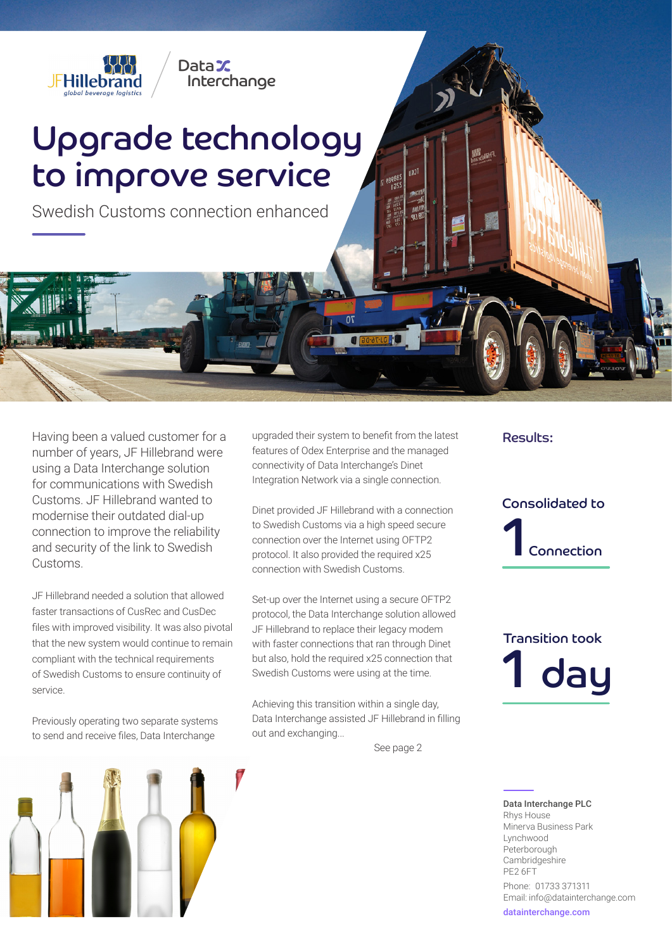

## Upgrade technology to improve service

Interchange

DataX

Swedish Customs connection enhanced

Having been a valued customer for a number of years, JF Hillebrand were using a Data Interchange solution for communications with Swedish Customs. JF Hillebrand wanted to modernise their outdated dial-up connection to improve the reliability and security of the link to Swedish Customs.

JF Hillebrand needed a solution that allowed faster transactions of CusRec and CusDec files with improved visibility. It was also pivotal that the new system would continue to remain compliant with the technical requirements of Swedish Customs to ensure continuity of service.

Previously operating two separate systems to send and receive files, Data Interchange



upgraded their system to benefit from the latest features of Odex Enterprise and the managed connectivity of Data Interchange's Dinet Integration Network via a single connection.

Dinet provided JF Hillebrand with a connection to Swedish Customs via a high speed secure connection over the Internet using OFTP2 protocol. It also provided the required x25 connection with Swedish Customs.

Set-up over the Internet using a secure OFTP2 protocol, the Data Interchange solution allowed JF Hillebrand to replace their legacy modem with faster connections that ran through Dinet but also, hold the required x25 connection that Swedish Customs were using at the time.

Achieving this transition within a single day, Data Interchange assisted JF Hillebrand in filling out and exchanging...

See page 2

## Results:

Connection Consolidated to

day Transition took

Data Interchange PLC Rhys House Minerva Business Park Lynchwood Peterborough **Cambridgeshire** PE2 6FT Phone: 01733 371311

Email: info@datainterchange.com datainterchange.com